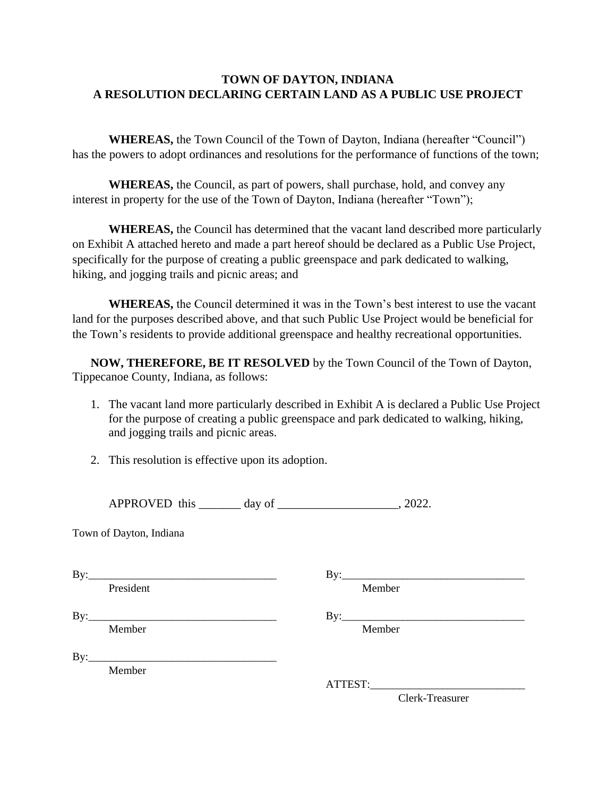## **TOWN OF DAYTON, INDIANA A RESOLUTION DECLARING CERTAIN LAND AS A PUBLIC USE PROJECT**

**WHEREAS,** the Town Council of the Town of Dayton, Indiana (hereafter "Council") has the powers to adopt ordinances and resolutions for the performance of functions of the town;

**WHEREAS,** the Council, as part of powers, shall purchase, hold, and convey any interest in property for the use of the Town of Dayton, Indiana (hereafter "Town");

**WHEREAS,** the Council has determined that the vacant land described more particularly on Exhibit A attached hereto and made a part hereof should be declared as a Public Use Project, specifically for the purpose of creating a public greenspace and park dedicated to walking, hiking, and jogging trails and picnic areas; and

**WHEREAS,** the Council determined it was in the Town's best interest to use the vacant land for the purposes described above, and that such Public Use Project would be beneficial for the Town's residents to provide additional greenspace and healthy recreational opportunities.

**NOW, THEREFORE, BE IT RESOLVED** by the Town Council of the Town of Dayton, Tippecanoe County, Indiana, as follows:

- 1. The vacant land more particularly described in Exhibit A is declared a Public Use Project for the purpose of creating a public greenspace and park dedicated to walking, hiking, and jogging trails and picnic areas.
- 2. This resolution is effective upon its adoption.

| APPROVED this |  |  | day of |  | 2022. |
|---------------|--|--|--------|--|-------|
|---------------|--|--|--------|--|-------|

Town of Dayton, Indiana

| By:                                                                                                                           | By:             |
|-------------------------------------------------------------------------------------------------------------------------------|-----------------|
| President                                                                                                                     | Member          |
| By:<br><u> 1989 - Johann Stoff, Amerikaansk politiker (* 1908)</u>                                                            |                 |
| Member                                                                                                                        | Member          |
| By:<br><u> 1989 - Johann John Stone, mars et al. 1989 - John Stone, mars et al. 1989 - John Stone, mars et al. 1989 - Joh</u> |                 |
| Member                                                                                                                        |                 |
|                                                                                                                               | ATTEST:         |
|                                                                                                                               | Clerk-Treasurer |
|                                                                                                                               |                 |